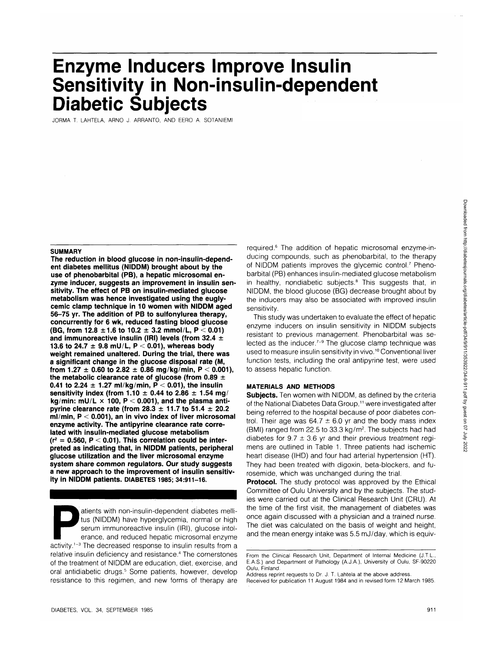# **Enzyme Inducers Improve Insulin Sensitivity in Non-insulin-dependent Diabetic Subjects**

JORMA T. LAHTELA, ARNO J. ARRANTO, AND EERO A. SOTANIEMI

#### **SUMMARY**

**The reduction in blood glucose in non-insulin-dependent diabetes mellitus (NIDDM) brought about by the use of phenobarbital (PB), a hepatic microsomal enzyme inducer, suggests an improvement in insulin sensitivity. The effect of PB on insulin-mediated glucose metabolism was hence investigated using the euglycemic clamp technique in 10 women with NIDDM aged 56-75 yr. The addition of PB to sulfonylurea therapy, concurrently for 6 wk, reduced fasting blood glucose (BG, from 12.8 ±1.6 to 10.2 ± 3.2 mmol/L, P < 0.01) and immunoreactive insulin (IRI) levels (from 32.4 ± 13.6 to 24.7 ± 9.8 mU/L, P < 0.01), whereas body weight remained unaltered. During the trial, there was a significant change in the glucose disposal rate (M,** from 1.27  $\pm$  0.60 to 2.82  $\pm$  0.86 mg/kg/min, P < 0.001), **the metabolic clearance rate of glucose (from 0.89 ±** 0.41 to 2.24  $\pm$  1.27 ml/kg/min,  $\vec{P}$  < 0.01), the insulin **sensitivity index (from 1.10**  $\pm$  **0.44 to 2.86**  $\pm$  **1.54 mg/ kg/min: mU/L x 100, P < 0.001), and the plasma antipyrine clearance rate (from 28.3 ± 11.7 to 51.4 ± 20.2 ml/min, P < 0.001), an in vivo index of liver microsomal enzyme activity. The antipyrine clearance rate correlated with insulin-mediated glucose metabolism (r2 = 0.560, P < 0.01). This correlation could be interpreted as indicating that, in NIDDM patients, peripheral glucose utilization and the liver microsomal enzyme system share common regulators. Our study suggests a new approach to the improvement of insulin sensitivity in NIDDM patients. DIABETES 1985; 34:911-16.**

atients with non-insulin-dependent diabetes melli-<br>tus (NIDDM) have hyperglycemia, normal or high<br>serum immunoreactive insulin (IRI), glucose intol-<br>erance, and reduced hepatic microsomal enzyme<br>activity.<sup>1-3</sup> The decrease tus (NIDDM) have hyperglycemia, normal or high serum immunoreactive insulin (IRI), glucose intolerance, and reduced hepatic microsomal enzyme relative insulin deficiency and resistance.<sup>4</sup> The cornerstones of the treatment of NIDDM are education, diet, exercise, and oral antidiabetic drugs.<sup>5</sup> Some patients, however, develop resistance to this regimen, and new forms of therapy are

required.<sup>6</sup> The addition of hepatic microsomal enzyme-inducing compounds, such as phenobarbital, to the therapy of NIDDM patients improves the glycemic control.<sup>7</sup> Phenobarbital (PB) enhances insulin-mediated glucose metabolism in healthy, nondiabetic subjects.<sup>8</sup> This suggests that, in NIDDM, the blood glucose (BG) decrease brought about by the inducers may also be associated with improved insulin sensitivity.

This study was undertaken to evaluate the effect of hepatic enzyme inducers on insulin sensitivity in NIDDM subjects resistant to previous management. Phenobarbital was selected as the inducer.<sup>7-9</sup> The glucose clamp technique was used to measure insulin sensitivity in vivo.<sup>10</sup> Conventional liver function tests, including the oral antipyrine test, were used to assess hepatic function.

# **MATERIALS AND METHODS**

**Subjects.** Ten women with NIDDM, as defined by the criteria of the National Diabetes Data Group,<sup>11</sup> were investigated after being referred to the hospital because of poor diabetes control. Their age was  $64.7 \pm 6.0$  yr and the body mass index (BMI) ranged from 22.5 to 33.3 kg/m<sup>2</sup>. The subjects had had diabetes for  $9.7 \pm 3.6$  yr and their previous treatment regimens are outlined in Table 1. Three patients had ischemic heart disease (IHD) and four had arterial hypertension (HT). They had been treated with digoxin, beta-blockers, and furosemide, which was unchanged during the trial.

**Protocol.** The study protocol was approved by the Ethical Committee of Oulu University and by the subjects. The studies were carried out at the Clinical Research Unit (CRU). At the time of the first visit, the management of diabetes was once again discussed with a physician and a trained nurse. The diet was calculated on the basis of weight and height, and the mean energy intake was 5.5 mJ/day, which is equiv-

Received for publication 11 August 1984 and in revised form 12 March 1985.

From the Clinical Research Unit, Department of Internal Medicine (J.T.L., E.A.S.) and Department of Pathology (A.J.A.), University of Oulu, SF-90220 Oulu, Finland.

Address reprint requests to Dr. J. T. Lahtela at the above address.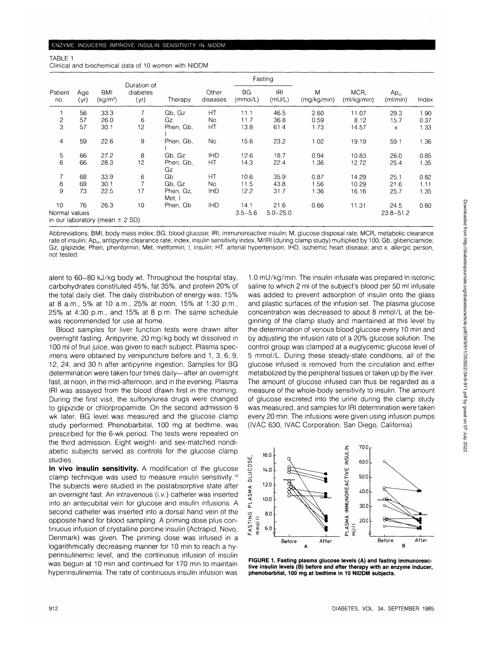Clinical and biochemical data of 10 women with NIDDM

TABLE 1

| Patient<br>no. |             | BMI<br>(kg/m <sup>2</sup> )         | Duration of<br>diabetes<br>(yr) |                     |                   | Fasting               |               |                  |                     |                              |       |
|----------------|-------------|-------------------------------------|---------------------------------|---------------------|-------------------|-----------------------|---------------|------------------|---------------------|------------------------------|-------|
|                | Age<br>(yr) |                                     |                                 | Therapy             | Other<br>diseases | <b>BG</b><br>(mmol/L) | IRI<br>(mU/L) | M<br>(mq/kg/min) | MCR,<br>(ml/kg/min) | Ap <sub>cl</sub><br>(ml/min) | Index |
|                | 56          | 33.3                                | 7                               | Gb, Gz              | НT                | 11.1                  | 46.5          | 2.60             | 11.07               | 29.3                         | 1.90  |
| $\mathbf{2}$   | 57          | 26.0                                | 6                               | Gz                  | No                | 11.7                  | 36.8          | 0.59             | 8.12                | 15.7                         | 0.37  |
| 3              | 57          | 30.1                                | 12                              | Phen, Gb,           | HT.               | 13.8                  | 61.4          | 1.73             | 14.57               | $\times$                     | 1.33  |
| $\overline{4}$ | 59          | 22.6                                | 9                               | Phen. Gb.           | <b>No</b>         | 15.6                  | 23.2          | 1.02             | 19.19               | 59.1                         | 1.36  |
| 5              | 66          | 27.2                                | 8                               | Gb, Gz              | <b>IHD</b>        | 12.6                  | 18.7          | 0.94             | 10.83               | 26.0                         | 0.85  |
| 6              | 66          | 28.3                                | 12                              | Phen, Gb,<br>Gz     | HT                | 14.3                  | 22.4          | 1.36             | 12.72               | 25.4                         | 1.35  |
| $\overline{7}$ | 68          | 33.9                                | 6                               | Gb                  | НT                | 10.6                  | 35.9          | 0.87             | 14.29               | 25.1                         | 0.82  |
| 8              | 69          | 30.1                                |                                 | Gb, Gz              | No.               | 11.5                  | 43.8          | 1.56             | 10.29               | 21.6                         | 1.11  |
| 9              | 73          | 22.5                                | 17                              | Phen, Gz.<br>Met, I | <b>IHD</b>        | 12.2                  | 31.7          | 1.36             | 16.16               | 25.7                         | 1.35  |
| 10             | 76          | 26.3                                | 10                              | Phen, Gb            | <b>IHD</b>        | 14.1                  | 21.6          | 0.66             | 11.31               | 24.5                         | 0.60  |
| Normal values  |             | in our laboratory (mean $\pm$ 2 SD) |                                 |                     |                   | $3.5 - 5.6$           | $5.0 - 25.0$  |                  |                     | $23.8 - 51.2$                |       |

Abbreviations: BMI, body mass index; BG, blood glucose; IRI, immunoreactive insulin; M, glucose disposal rate; MCR, metabolic clearance rate of insulin; Ap<sub>d</sub>, antipyrine clearance rate; index, insulin sensitivity index, M/IRI (during clamp study) multiplied by 100; Gb, glibenclamide; Gz, glipizide; Phen, phenformin; Met, metformin; I, insulin; HT, arterial hypertension; IHD, ischemic heart disease; and x, allergic person, not tested.

alent to 60-80 kJ/kg body wt. Throughout the hospital stay, carbohydrates constituted 45%, fat 35%, and protein 20% of the total daily diet. The daily distribution of energy was: 15% at 8 a.m., 5% at 10 a.m., 25% at noon, 15% at 1:30 p.m., 25% at 4:30 p.m., and 15% at 8 p.m. The same schedule was recommended for use at home.

Blood samples for liver function tests were drawn after overnight fasting. Antipyrine, 20 mg/kg body wt dissolved in 100 ml of fruit juice, was given to each subject. Plasma specimens were obtained by venipuncture before and 1, 3, 6, 9, 12, 24, and 30 h after antipyrine ingestion. Samples for BG determination were taken four times daily—after an overnight fast, at noon, in the mid-afternoon, and in the evening. Plasma IRI was assayed from the blood drawn first in the morning. During the first visit, the sulfonylurea drugs were changed to glipizide or chlorpropamide. On the second admission 6 wk later, BG level was measured and the glucose clamp study performed. Phenobarbital, 100 mg at bedtime, was prescribed for the 6-wk period. The tests were repeated on the third admission. Eight weight- and sex-matched nondiabetic subjects served as controls for the glucose clamp studies.

**In vivo insulin sensitivity.** A modification of the glucose clamp technique was used to measure insulin sensitivity.10 The subjects were studied in the postabsorptive state after an overnight fast. An intravenous (i.v.) catheter was inserted into an antecubital vein for glucose and insulin infusions. A second catheter was inserted into a dorsal hand vein of the opposite hand for blood sampling. A priming dose plus continuous infusion of crystalline porcine insulin (Actrapid, Novo, Denmark) was given. The priming dose was infused in a logarithmically decreasing manner for 10 min to reach a hyperinsulinemic level, and the continuous infusion of insulin was begun at 10 min and continued for 170 min to maintain hyperinsulinemia. The rate of continuous insulin infusion was

1.0 mU/kg/min. The insulin infusate was prepared in isotonic saline to which 2 ml of the subject's blood per 50 ml infusate was added to prevent adsorption of insulin onto the glass and plastic surfaces of the infusion set. The plasma glucose concentration was decreased to about 8 mmol/L at the beginning of the clamp study and maintained at this level by the determination of venous blood glucose every 10 min and by adjusting the infusion rate of a 20% glucose solution. The control group was clamped at a euglycemic glucose level of 5 mmol/L. During these steady-state conditions, all of the glucose infused is removed from the circulation and either metabolized by the peripheral tissues or taken up by the liver. The amount of glucose infused can thus be regarded as a measure of the whole-body sensitivity to insulin. The amount of glucose excreted into the urine during the clamp study was measured, and samples for IRI determination were taken every 20 min. The infusions were given using infusion pumps (IVAC 630, IVAC Corporation, San Diego, California).



**FIGURE 1. Fasting plasma glucose levels (A) and fasting immunoreactive insulin levels (B) before and after therapy with an enzyme inducer, phenobarbital, 100 mg at bedtime in 10 NIDDM subjects.**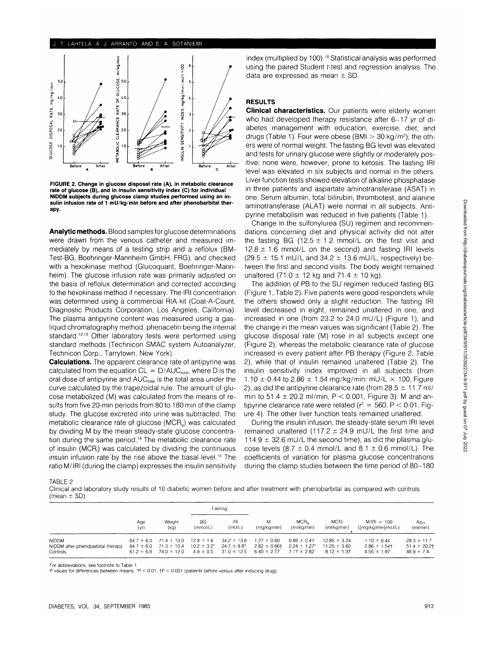### LAHTELA. A. J. ARRANTO. AND E. A. SOTANIEMI



**FIGURE 2. Change in glucose disposal rate (A), in metabolic clearance rate of glucose (B), and in insulin sensitivity index (C) for individual NIDDM subjects during glucose clamp studies performed using an insulin infusion rate of 1 mU/kg/min before and after phenobarbital therapy.**

**Analytic methods.** Blood samples for glucose determinations were drawn from the venous catheter and measured immediately by means of a testing strip and a reflolux (BM-Test-BG, Boehringer-Mannheim GmbH, FRG), and checked with a hexokinase method (Glucoquant, Boehringer-Mannheim). The glucose infusion rate was primarily adjusted on the basis of reflolux determination and corrected according to the hexokinase method if necessary. The IRI concentration was determined using a commercial RIA kit (Coat-A-Count, Diagnostic Products Corporation, Los Angeles, California). The plasma antipyrine content was measured using a gasliquid chromatography method, phenacetin being the internal standard.<sup>12,13</sup> Other laboratory tests were performed using standard methods (Technicon SMAC system Autoanalyzer, Technicon Corp., Tarrytown, New York).

**Calculations.** The apparent clearance rate of antipyrine was calculated from the equation  $CL = D/AUC_{total}$ , where D is the oral dose of antipyrine and AUC<sub>total</sub> is the total area under the curve calculated by the trapezoidal rule. The amount of glucose metabolized (M) was calculated from the means of results from five 20-min periods from 80 to 180 min of the clamp study. The glucose excreted into urine was subtracted. The metabolic clearance rate of glucose (MCR<sub>g</sub>) was calculated by dividing M by the mean steady-state glucose concentration during the same period.14 The metabolic clearance rate of insulin (MCRj) was calculated by dividing the continuous insulin infusion rate by the rise above the basal level.15 The ratio M/IRI (during the clamp) expresses the insulin sensitivity

index (multiplied by 100).<sup>10</sup> Statistical analysis was performed using the paired Student f-test and regression analysis. The data are expressed as mean  $\pm$  SD.

## **RESULTS**

**Clinical characteristics.** Our patients were elderly women who had developed therapy resistance after 6-17 yr of diabetes management with education, exercise, diet, and drugs (Table 1). Four were obese (BMI > 30 kg/m<sup>2</sup>); the others were of normal weight. The fasting BG level was elevated and tests for urinary glucose were slightly or moderately positive; none were, however, prone to ketosis. The fasting IRI level was elevated in six subjects and normal in the others. Liver function tests showed elevation of alkaline phosphatase in three patients and aspartate aminotransferase (ASAT) in one. Serum albumin, total bilirubin, thrombotest, and alanine aminotransferase (ALAT) were normal in all subjects. Antipyrine metabolism was reduced in five patients (Table 1).

Change in the sulfonylurea (SU) regimen and recommendations concerning diet and physical activity did not alter the fasting BG (12.5  $\pm$  1.2 mmol/L on the first visit and  $12.8 \pm 1.6$  mmol/L on the second) and fasting IRI levels  $(29.5 \pm 15.1 \text{ mU/L}$  and  $34.2 \pm 13.6 \text{ mU/L}$ , respectively) between the first and second visits. The body weight remained unaltered (71.0  $\pm$  12 kg and 71.4  $\pm$  10 kg).

The addition of PB to the SU regimen reduced fasting BG (Figure 1, Table 2). Five patients were good responders while the others showed only a slight reduction. The fasting IRI level decreased in eight, remained unaltered in one, and increased in one (from 23.2 to 24.0 mU/L) (Figure 1), and the change in the mean values was significant (Table 2). The glucose disposal rate (M) rose in all subjects except one (Figure 2), whereas the metabolic clearance rate of glucose increased in every patient after PB therapy (Figure 2, Table 2), while that of insulin remained unaltered (Table 2). The insulin sensitivity index improved in all subjects (from 1.10  $\pm$  0.44 to 2.86  $\pm$  1.54 mg/kg/min: mU/L  $\times$  100, Figure 2), as did the antipyrine clearance rate (from  $28.5 \pm 11.7$  ml/ min to 51.4  $\pm$  20.2 ml/min, P < 0.001, Figure 3). M and antipyrine clearance rate were related ( $r^2 = 560$ , P < 0.01, Figure 4). The other liver function tests remained unaltered.

During the insulin infusion, the steady-state serum IRI level remained unaltered (117.2  $\pm$  24.9 mU/L the first time and 114.9  $\pm$  32.6 mU/L the second time), as did the plasma glucose levels (8.7  $\pm$  0.4 mmol/L and 8.1  $\pm$  0.6 mmol/L). The coefficients of variation for plasma glucose concentrations during the clamp studies between the time period of 80-180

TABLE 2

Clinical and laboratory study results of 10 diabetic women before and after treatment with phenobarbital as compared with controls (mean  $\pm$  SD)

|                                                               |                                                    |                                                       | Fasting                         |                                                                             |                                                         |                                                         |                                                         |                                                       |                                                       |
|---------------------------------------------------------------|----------------------------------------------------|-------------------------------------------------------|---------------------------------|-----------------------------------------------------------------------------|---------------------------------------------------------|---------------------------------------------------------|---------------------------------------------------------|-------------------------------------------------------|-------------------------------------------------------|
|                                                               | Age<br>(vr)                                        | Weight<br>(kq)                                        | BG.<br>(mmol/L)                 | IRI<br>(mUL)                                                                | м<br>(mg/kg/min)                                        | MCR <sub>0</sub><br>(ml/kg/min)                         | MCR:<br>(ml/kg/min)                                     | $M/ R  \times 100$<br>([mg/kg/min]/mU/L)              | Ap <sub>cl</sub><br>(ml/min)                          |
| <b>NIDDM</b><br>NIDDM after phenobarbital therapy<br>Controls | $64.7 \pm 6.0$<br>$64.7 \pm 6.0$<br>$61.2 \pm 6.8$ | $71.4 \pm 10.0$<br>$71.3 \pm 10.4$<br>$74.0 \pm 12.0$ | $12.8 \pm 1.6$<br>$4.8 \pm 0.5$ | $34.2 \pm 13.6$<br>$10.2 \pm 3.2^{\ast}$ 24.7 $\pm$ 9.8*<br>$31.0 \pm 12.5$ | $1.27 \pm 0.60$<br>$2.82 \pm 0.86$ †<br>$6.40 \pm 2.77$ | $0.89 \pm 0.41$<br>$2.24 \pm 1.27$ *<br>$7.17 \pm 2.82$ | $12.85 \pm 3.24$<br>$11.25 \pm 3.60$<br>$8.12 \pm 1.37$ | $1.10 \pm 0.44$<br>$2.86 \pm 1.54$<br>$4.55 \pm 1.97$ | $28.3 \pm 11.7$<br>$51.4 \pm 20.21$<br>$48.9 \pm 7.4$ |

For abbreviations, see footnote to Table 1.

P-values for differences between means: \*P < 0.01, fP < 0.001 (patients before versus after inducing drug).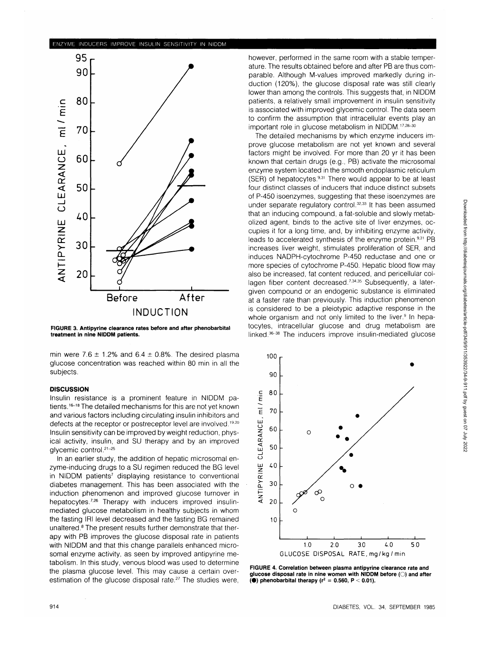

**FIGURE 3. Antipyrine clearance rates before and after phenobarbital treatment in nine NIDDM patients.**

min were 7.6  $\pm$  1.2% and 6.4  $\pm$  0.8%. The desired plasma glucose concentration was reached within 80 min in all the subjects.

## **DISCUSSION**

Insulin resistance is a prominent feature in NIDDM patients.<sup>16-18</sup> The detailed mechanisms for this are not yet known and various factors including circulating insulin inhibitors and defects at the receptor or postreceptor level are involved.<sup>19,20</sup> Insulin sensitivity can be improved by weight reduction, physical activity, insulin, and SU therapy and by an improved glycemic control.<sup>21-25</sup>

In an earlier study, the addition of hepatic microsomal enzyme-inducing drugs to a SU regimen reduced the BG level in NIDDM patients<sup>7</sup> displaying resistance to conventional diabetes management. This has been associated with the induction phenomenon and improved glucose turnover in hepatocytes.<sup>7,26</sup> Therapy with inducers improved insulinmediated glucose metabolism in healthy subjects in whom the fasting IRI level decreased and the fasting BG remained unaltered.<sup>8</sup> The present results further demonstrate that therapy with PB improves the glucose disposal rate in patients with NIDDM and that this change parallels enhanced microsomal enzyme activity, as seen by improved antipyrine metabolism. In this study, venous blood was used to determine the plasma glucose level. This may cause a certain overestimation of the glucose disposal rate.<sup>27</sup> The studies were, however, performed in the same room with a stable temperature. The results obtained before and after PB are thus comparable. Although M-values improved markedly during induction (120%), the glucose disposal rate was still clearly lower than among the controls. This suggests that, in NIDDM patients, a relatively small improvement in insulin sensitivity is associated with improved glycemic control. The data seem to confirm the assumption that intracellular events play an important role in glucose metabolism in NIDDM.<sup>17,28-30</sup>

The detailed mechanisms by which enzyme inducers improve glucose metabolism are not yet known and several factors might be involved. For more than 20 yr it has been known that certain drugs (e.g., PB) activate the microsomal enzyme system located in the smooth endoplasmic reticulum (SER) of hepatocytes.<sup>9,31</sup> There would appear to be at least four distinct classes of inducers that induce distinct subsets of P-450 isoenzymes, suggesting that these isoenzymes are under separate regulatory control.<sup>32,33</sup> It has been assumed that an inducing compound, a fat-soluble and slowly metabolized agent, binds to the active site of liver enzymes, occupies it for a long time, and, by inhibiting enzyme activity, leads to accelerated synthesis of the enzyme protein.<sup>9,31</sup> PB increases liver weight, stimulates proliferation of SER, and induces NADPH-cytochrome P-450 reductase and one or more species of cytochrome P-450. Hepatic blood flow may also be increased, fat content reduced, and pericellular collagen fiber content decreased.<sup>7,34,35</sup> Subsequently, a latergiven compound or an endogenic substance is eliminated at a faster rate than previously. This induction phenomenon is considered to be a pleiotypic adaptive response in the whole organism and not only limited to the liver.<sup>9</sup> In hepatocytes, intracellular glucose and drug metabolism are linked.<sup>36-38</sup> The inducers improve insulin-mediated glucose



**FIGURE 4. Correlation between plasma antipyrine clearance rate and glucose disposal rate in nine women with NIDDM before (O) and after**  $($ ) phenobarbital therapy ( $r^2 = 0.560$ , P < 0.01).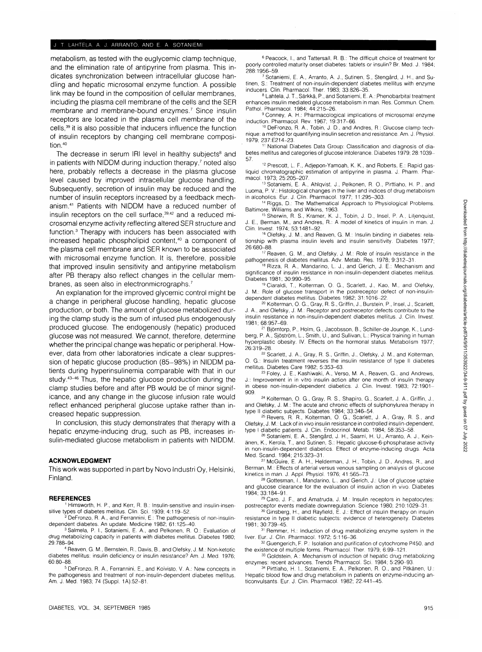## J. T. LAHTELA. A. J. ARRANTO. AND E. A. SOTANIEMI

metabolism, as tested with the euglycemic clamp technique, and the elimination rate of antipyrine from plasma. This indicates synchronization between intracellular glucose handling and hepatic microsomal enzyme function. A possible link may be found in the composition of cellular membranes, including the plasma cell membrane of the cells and the SER membrane and membrane-bound enzymes.<sup>7</sup> Since insulin receptors are located in the plasma cell membrane of the cells,<sup>39</sup> it is also possible that inducers influence the function of insulin receptors by changing cell membrane composition.40

The decrease in serum IRI level in healthy subjects<sup>8</sup> and in patients with NIDDM during induction therapy,<sup>7</sup> noted also here, probably reflects a decrease in the plasma glucose level caused by improved intracellular glucose handling. Subsequently, secretion of insulin may be reduced and the number of insulin receptors increased by a feedback mechanism.41 Patients with NIDDM have a reduced number of insulin receptors on the cell surface,<sup>39,42</sup> and a reduced microsomal enzyme activity reflecting altered SER structure and function.3 Therapy with inducers has been associated with increased hepatic phospholipid content,<sup>40</sup> a component of the plasma cell membrane and SER known to be associated with microsomal enzyme function. It is, therefore, possible that improved insulin sensitivity and antipyrine metabolism after PB therapy also reflect changes in the cellular membranes, as seen also in electronmicrographs.<sup>7</sup>

An explanation for the improved glycemic control might be a change in peripheral glucose handling, hepatic glucose production, or both. The amount of glucose metabolized during the clamp study is the sum of infused plus endogenously produced glucose. The endogenously (hepatic) produced glucose was not measured. We cannot, therefore, determine whether the principal change was hepatic or peripheral. However, data from other laboratories indicate a clear suppression of hepatic glucose production (85-98%) in NIDDM patients during hyperinsulinemia comparable with that in our study.<sup>43-46</sup> Thus, the hepatic glucose production during the clamp studies before and after PB would be of minor significance, and any change in the glucose infusion rate would reflect enhanced peripheral glucose uptake rather than increased hepatic suppression.

In conclusion, this study demonstrates that therapy with a hepatic enzyme-inducing drug, such as PB, increases insulin-mediated glucose metabolism in patients with NIDDM.

#### **ACKNOWLEDGMENT**

This work was supported in part by Novo Industri Oy, Helsinki, Finland.

### **REFERENCES**

<sup>1</sup> Himsworth, H. P., and Kerr, R. B.: Insulin-sensitive and insulin-insensitive types of diabetes mellitus. Clin. Sci. 1939: 4:119-52.

 DeFronzo, R. A., and Ferrannini, E.: The pathogenesis of non-insulindependent diabetes. An update. Medicine 1982; 61:125-40.

<sup>3</sup> Salmela, P. I., Sotaniemi, E. A., and Pelkonen, R. O.: Evaluation of drug metabolizing capacity in patients with diabetes mellitus. Diabetes 1980; 29:788-94

 Reaven, G. M., Bernstein, R., Davis, B., and Olefsky, J. M.: Non-ketotic diabetes mellitus: insulin deficiency or insulin resistance? Am. J. Med. 1976; 60:80-88.

5 DeFronzo, R. A., Ferrannini, E., and Koivisto, V. A.: New concepts in the pathogenesis and treatment of non-insulin-dependent diabetes mellitus. Am. J. Med. 1983; 74 (Suppl. 1A):52-81.

6 Peacock, I., and Tattersall, R. B.: The difficult choice of treatment for poorly controlled maturity onset diabetes: tablets or insulin? Br. Med. J. 1984; 288:1956-59. <sup>7</sup>

Sotaniemi, E. A., Arranto, A. J., Sutinen, S., Stengård, J. H., and Sutinen, S.: Treatment of non-insulin-dependent diabetes mellitus with enzyme inducers. Clin. Pharmacol. Ther. 1983; 33:826-35.

8 Lahtela, J. T., Särkkä, P., and Sotaniemi, E. A.: Phenobarbital treatment enhances insulin mediated glucose metabolism in man. Res. Commun. Chem. Pathol. Pharmacol. 1984; 44:215-26. <sup>9</sup>

 Conney, A. H.: Pharmacological implications of microsomal enzyme induction. Pharmacol. Rev. 1967; 19:317-66. <sup>10</sup> DeFronzo, R. A., Tobin, J. D., and Andres, R.: Glucose clamp tech-

nique: a method for quantifying insulin secretion and resistance. Am. J. Physiol. 1979; 237:E214-23. <sup>11</sup>

 National Diabetes Data Group: Classification and diagnosis of diabetes mellitus and categories of glucose intolerance. Diabetes 1979; 28:1039- 57.

12 Prescott, L. F., Adjepon-Yamoah, K. K., and Roberts, E.: Rapid gasliquid chromatographic estimation of antipyrine in plasma. J. Pharm. Pharmacol. 1973; 25:205–207.<br><sup>13</sup> Sotaniemi, E. A., Ahlqvist, J., Pelkonen, R. O., Pirttiaho, H. P., and

Luoma, P. V.: Histological changes in the liver and indices of drug metabolism in alcoholics. Eur. J. Clin. Pharmacol. 1977; 11:295-303.

14 Riggs, D.: The Mathematical Approach to Physiological Problems. Baltimore, Williams and Wilkins, 1963.

<sup>15</sup> Sherwin, R. S., Kramer, K. J., Tobin, J. D., Insel, P. A., Lilienquist, J. E., Berman, M., and Andres, R.: A model of kinetics of insulin in man. J. Clin. Invest. 1974; 53:1481-92.

<sup>16</sup> Olefsky, J. M., and Reaven, G. M.: Insulin binding in diabetes: relationship with plasma insulin levels and insulin sensitivity. Diabetes 1977; 26:680-88. <sup>17</sup>

17 Reaven, G. M., and Olefsky, J. M.: Role of insulin resistance in the pathogenesis of diabetes mellitus. Adv. Metab. Res. 1978; 9:312-31.

<sup>18</sup> Rizza, R. A., Mandarino, L. J., and Gerich, J. E.: Mechanism and significance of insulin resistance in non-insulin-dependent diabetes mellitus. Diabetes 1981; 30:990-95.

 Ciaraldi, T., Kolterman, O. G., Scarlett, J., Kao, M., and Olefsky, J. M.: Role of glucose transport in the postreceptor defect of non-insulindependent diabetes mellitus. Diabetes 1982; 31:1016-22.

<sup>20</sup> Kolterman, O. G., Gray, R. S., Griffin, J., Burstein, P., Insel, J., Scarlett, J. A., and Olefsky, J. M.: Receptor and postreceptor defects contribute to the insulin resistance in non-insulin-dependent diabetes mellitus. J. Clin. Invest. 1981; 68:957-69.

21 Björntorp, P., Holm, G., Jacobsson, B., Schiller-de Jounge, K., Lundberg, P. A., Sjostrom, L, Smith, U., and Sullivan, L: Physical training in human hyperplastic obesity. IV. Effects on the hormonal status. Metabolism 1977; 26:319-28.

<sup>22</sup> Scarlett, J. A., Gray, R. S., Griffin, J., Olefsky, J. M., and Kolterman, 0. G.: Insulin treatment reverses the insulin resistance of type II diabetes mellitus. Diabetes Care 1982; 5:353-63.

<sup>23</sup> Foley, J. E., Kashiwaki, A., Verso, M. A., Reaven, G., and Andrews, J.: Improvement in in vitro insulin action after one month of insulin therapy in obese non-insulin-dependent diabetics. J. Clin. Invest. 1983; 72:1901- 909.

24 Kolterman, 0. G., Gray, R. S., Shapiro, G., Scarlett, J. A., Griffin, J., and Olefsky, J. M.: The acute and chronic effects of sulphonylurea therapy in type II diabetic subjects. Diabetes 1984; 33:346-54.

<sup>25</sup> Revers, R. R., Kolterman, O. G., Scarlett, J. A., Gray, R. S., and Olefsky, J. M.: Lack of in vivo insulin resistance in controlled insulin-dependent, type I diabetic patients. J. Clin. Endocrinol. Metab. 1984; 58:353-58.

<sup>26</sup> Sotaniemi, E. A., Stengård, J. H., Saarni, H. U., Arranto, A. J., Keinanen, K., Kerola, T., and Sutinen, S.: Hepatic glucose-6-phosphatase activity in non-insulin-dependent diabetics. Effect of enzyme-inducing drugs. Acta Med. Scand. 1984; 215:323-31.

 McGuire, E. A. H., Helderman, J. H., Tobin, J. D., Andres, R., and Berman, M.: Effects of arterial versus venous sampling on analysis of glucose kinetics in man. J. Appl. Physiol. 1976; 41:565-73.

28 Gottesman, I., Mandarino, L., and Gerich, J.: Use of glucose uptake and glucose clearance for the evaluation of insulin action in vivo. Diabetes 1984; 33:184-91

<sup>29</sup> Caro, J. F., and Amatruda, J. M.: Insulin receptors in hepatocytes: postreceptor events mediate downregulation. Science 1980; 210:1029-31.

<sup>30</sup> Ginsberg, H., and Rayfield, E. J.: Effect of insulin therapy on insulin resistance in type II diabetic subjects: evidence of heterogeneity. Diabetes 1981; 30:739-45.

<sup>31</sup> Remmer, H.: Induction of drug metabolizing enzyme system in the<br>liver. Eur. J. Clin. Pharmacol. 1972; 5:116-36.<br><sup>32</sup> Guanciob E. B.: Jealtien and purification of autophroma P450, and

32 Guengerich, F. P.: Isolation and purification of cytochrome P450, and the existence of multiple forms. Pharmacol. Ther. 1979; 6:99-121

33 Goldstein, A.: Mechanism of induction of hepatic drug metabolizing enzymes: recent advances. Trends Pharmacol. Sci. 1984; 5:290-93.

34 Pirttiaho, H. I., Sotaniemi, E. A., Pelkonen, R. 0. , and Pitkanen, U.: Hepatic blood flow and drug metabolism in patients on enzyme-inducing anticonvulsants. Eur. J. Clin. Pharmacol. 1982; 22:441-45.